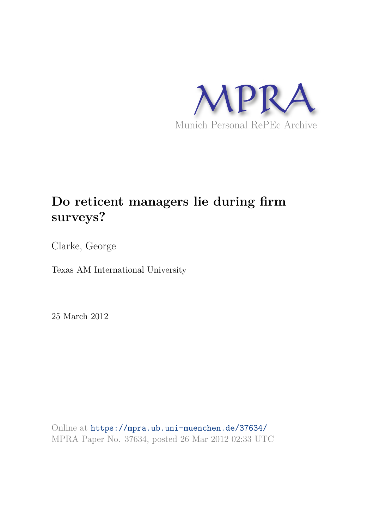

# **Do reticent managers lie during firm surveys?**

Clarke, George

Texas AM International University

25 March 2012

Online at https://mpra.ub.uni-muenchen.de/37634/ MPRA Paper No. 37634, posted 26 Mar 2012 02:33 UTC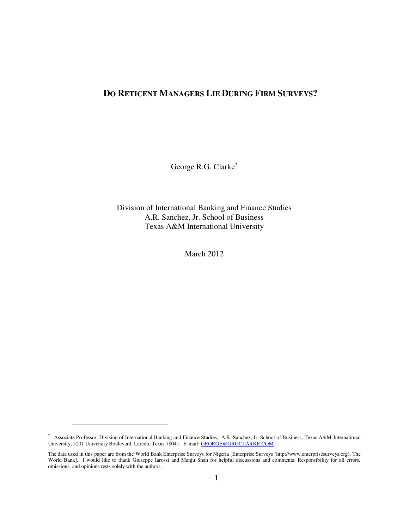# **DO RETICENT MANAGERS LIE DURING FIRM SURVEYS?**

George R.G. Clarke

Division of International Banking and Finance Studies A.R. Sanchez, Jr. School of Business Texas A&M International University

March 2012

 $\overline{a}$ 

 Associate Professor, Division of International Banking and Finance Studies, A.R. Sanchez, Jr. School of Business, Texas A&M International University, 5201 University Boulevard, Laredo, Texas 78041. E-mail: **GEORGE@GRGCLARKE.COM**.

The data used in this paper are from the World Bank Enterprise Surveys for Nigeria [Enterprise Surveys (http://www.enterprisesurveys.org), The World Bank]. I would like to thank Giuseppe Iarossi and Manju Shah for helpful discussions and comments. Responsibility for all errors, omissions, and opinions rests solely with the authors.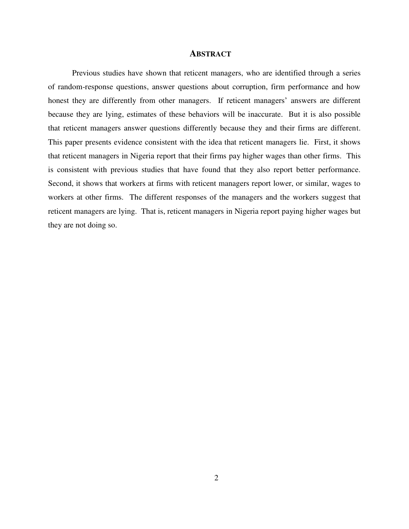#### **ABSTRACT**

Previous studies have shown that reticent managers, who are identified through a series of random-response questions, answer questions about corruption, firm performance and how honest they are differently from other managers. If reticent managers' answers are different because they are lying, estimates of these behaviors will be inaccurate. But it is also possible that reticent managers answer questions differently because they and their firms are different. This paper presents evidence consistent with the idea that reticent managers lie. First, it shows that reticent managers in Nigeria report that their firms pay higher wages than other firms. This is consistent with previous studies that have found that they also report better performance. Second, it shows that workers at firms with reticent managers report lower, or similar, wages to workers at other firms. The different responses of the managers and the workers suggest that reticent managers are lying. That is, reticent managers in Nigeria report paying higher wages but they are not doing so.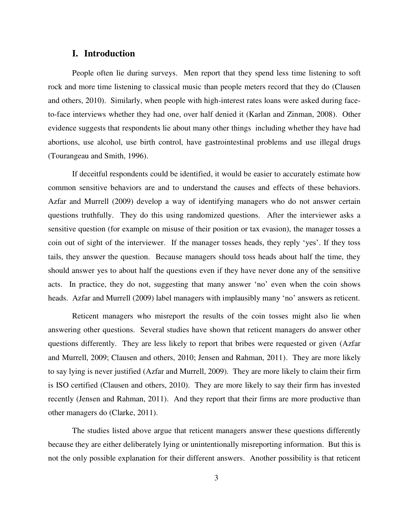## **I. Introduction**

People often lie during surveys. Men report that they spend less time listening to soft rock and more time listening to classical music than people meters record that they do (Clausen and others, 2010). Similarly, when people with high-interest rates loans were asked during faceto-face interviews whether they had one, over half denied it (Karlan and Zinman, 2008). Other evidence suggests that respondents lie about many other things including whether they have had abortions, use alcohol, use birth control, have gastrointestinal problems and use illegal drugs (Tourangeau and Smith, 1996).

If deceitful respondents could be identified, it would be easier to accurately estimate how common sensitive behaviors are and to understand the causes and effects of these behaviors. Azfar and Murrell (2009) develop a way of identifying managers who do not answer certain questions truthfully. They do this using randomized questions. After the interviewer asks a sensitive question (for example on misuse of their position or tax evasion), the manager tosses a coin out of sight of the interviewer. If the manager tosses heads, they reply 'yes'. If they toss tails, they answer the question. Because managers should toss heads about half the time, they should answer yes to about half the questions even if they have never done any of the sensitive acts. In practice, they do not, suggesting that many answer 'no' even when the coin shows heads. Azfar and Murrell (2009) label managers with implausibly many 'no' answers as reticent.

Reticent managers who misreport the results of the coin tosses might also lie when answering other questions. Several studies have shown that reticent managers do answer other questions differently. They are less likely to report that bribes were requested or given (Azfar and Murrell, 2009; Clausen and others, 2010; Jensen and Rahman, 2011). They are more likely to say lying is never justified (Azfar and Murrell, 2009). They are more likely to claim their firm is ISO certified (Clausen and others, 2010). They are more likely to say their firm has invested recently (Jensen and Rahman, 2011). And they report that their firms are more productive than other managers do (Clarke, 2011).

The studies listed above argue that reticent managers answer these questions differently because they are either deliberately lying or unintentionally misreporting information. But this is not the only possible explanation for their different answers. Another possibility is that reticent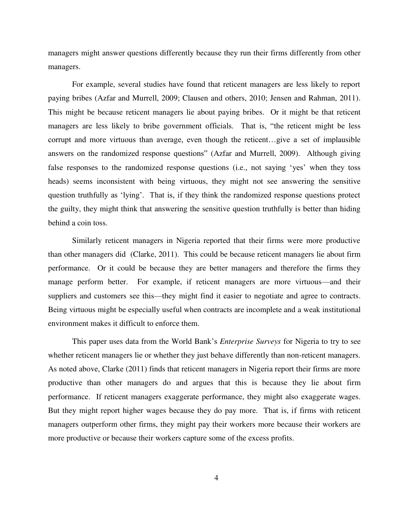managers might answer questions differently because they run their firms differently from other managers.

For example, several studies have found that reticent managers are less likely to report paying bribes (Azfar and Murrell, 2009; Clausen and others, 2010; Jensen and Rahman, 2011). This might be because reticent managers lie about paying bribes. Or it might be that reticent managers are less likely to bribe government officials. That is, "the reticent might be less corrupt and more virtuous than average, even though the reticent…give a set of implausible answers on the randomized response questions" (Azfar and Murrell, 2009). Although giving false responses to the randomized response questions (i.e., not saying 'yes' when they toss heads) seems inconsistent with being virtuous, they might not see answering the sensitive question truthfully as 'lying'. That is, if they think the randomized response questions protect the guilty, they might think that answering the sensitive question truthfully is better than hiding behind a coin toss.

Similarly reticent managers in Nigeria reported that their firms were more productive than other managers did (Clarke, 2011). This could be because reticent managers lie about firm performance. Or it could be because they are better managers and therefore the firms they manage perform better. For example, if reticent managers are more virtuous—and their suppliers and customers see this—they might find it easier to negotiate and agree to contracts. Being virtuous might be especially useful when contracts are incomplete and a weak institutional environment makes it difficult to enforce them.

This paper uses data from the World Bank's *Enterprise Surveys* for Nigeria to try to see whether reticent managers lie or whether they just behave differently than non-reticent managers. As noted above, Clarke (2011) finds that reticent managers in Nigeria report their firms are more productive than other managers do and argues that this is because they lie about firm performance. If reticent managers exaggerate performance, they might also exaggerate wages. But they might report higher wages because they do pay more. That is, if firms with reticent managers outperform other firms, they might pay their workers more because their workers are more productive or because their workers capture some of the excess profits.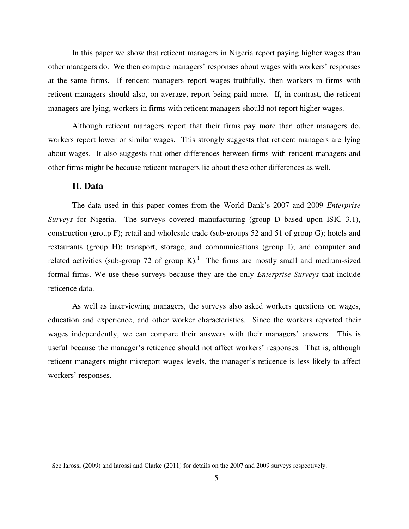In this paper we show that reticent managers in Nigeria report paying higher wages than other managers do. We then compare managers' responses about wages with workers' responses at the same firms. If reticent managers report wages truthfully, then workers in firms with reticent managers should also, on average, report being paid more. If, in contrast, the reticent managers are lying, workers in firms with reticent managers should not report higher wages.

Although reticent managers report that their firms pay more than other managers do, workers report lower or similar wages. This strongly suggests that reticent managers are lying about wages. It also suggests that other differences between firms with reticent managers and other firms might be because reticent managers lie about these other differences as well.

## **II. Data**

 $\overline{a}$ 

The data used in this paper comes from the World Bank's 2007 and 2009 *Enterprise Surveys* for Nigeria. The surveys covered manufacturing (group D based upon ISIC 3.1), construction (group F); retail and wholesale trade (sub-groups 52 and 51 of group G); hotels and restaurants (group H); transport, storage, and communications (group I); and computer and related activities (sub-group 72 of group K).<sup>1</sup> The firms are mostly small and medium-sized formal firms. We use these surveys because they are the only *Enterprise Surveys* that include reticence data.

As well as interviewing managers, the surveys also asked workers questions on wages, education and experience, and other worker characteristics. Since the workers reported their wages independently, we can compare their answers with their managers' answers. This is useful because the manager's reticence should not affect workers' responses. That is, although reticent managers might misreport wages levels, the manager's reticence is less likely to affect workers' responses.

<sup>&</sup>lt;sup>1</sup> See Iarossi (2009) and Iarossi and Clarke (2011) for details on the 2007 and 2009 surveys respectively.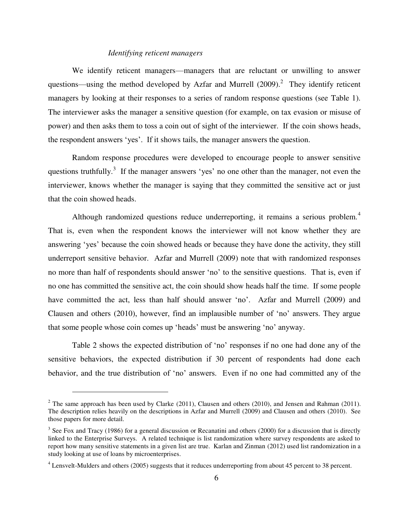#### *Identifying reticent managers*

We identify reticent managers—managers that are reluctant or unwilling to answer questions—using the method developed by Azfar and Murrell  $(2009)$ .<sup>2</sup> They identify reticent managers by looking at their responses to a series of random response questions (see [Table 1\)](#page-15-0). The interviewer asks the manager a sensitive question (for example, on tax evasion or misuse of power) and then asks them to toss a coin out of sight of the interviewer. If the coin shows heads, the respondent answers 'yes'. If it shows tails, the manager answers the question.

Random response procedures were developed to encourage people to answer sensitive questions truthfully.<sup>3</sup> If the manager answers 'yes' no one other than the manager, not even the interviewer, knows whether the manager is saying that they committed the sensitive act or just that the coin showed heads.

Although randomized questions reduce underreporting, it remains a serious problem.<sup>4</sup> That is, even when the respondent knows the interviewer will not know whether they are answering 'yes' because the coin showed heads or because they have done the activity, they still underreport sensitive behavior. Azfar and Murrell (2009) note that with randomized responses no more than half of respondents should answer 'no' to the sensitive questions. That is, even if no one has committed the sensitive act, the coin should show heads half the time. If some people have committed the act, less than half should answer 'no'. Azfar and Murrell (2009) and Clausen and others (2010), however, find an implausible number of 'no' answers. They argue that some people whose coin comes up 'heads' must be answering 'no' anyway.

[Table 2](#page-15-1) shows the expected distribution of 'no' responses if no one had done any of the sensitive behaviors, the expected distribution if 30 percent of respondents had done each behavior, and the true distribution of 'no' answers. Even if no one had committed any of the

 $\overline{a}$ 

<sup>&</sup>lt;sup>2</sup> The same approach has been used by Clarke (2011), Clausen and others (2010), and Jensen and Rahman (2011). The description relies heavily on the descriptions in Azfar and Murrell (2009) and Clausen and others (2010). See those papers for more detail.

 $3$  See Fox and Tracy (1986) for a general discussion or Recanatini and others (2000) for a discussion that is directly linked to the Enterprise Surveys. A related technique is list randomization where survey respondents are asked to report how many sensitive statements in a given list are true. Karlan and Zinman (2012) used list randomization in a study looking at use of loans by microenterprises.

<sup>&</sup>lt;sup>4</sup> Lensvelt-Mulders and others (2005) suggests that it reduces underreporting from about 45 percent to 38 percent.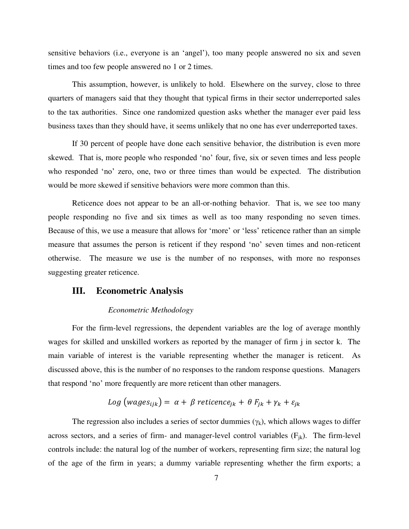sensitive behaviors (i.e., everyone is an 'angel'), too many people answered no six and seven times and too few people answered no 1 or 2 times.

This assumption, however, is unlikely to hold. Elsewhere on the survey, close to three quarters of managers said that they thought that typical firms in their sector underreported sales to the tax authorities. Since one randomized question asks whether the manager ever paid less business taxes than they should have, it seems unlikely that no one has ever underreported taxes.

If 30 percent of people have done each sensitive behavior, the distribution is even more skewed. That is, more people who responded 'no' four, five, six or seven times and less people who responded 'no' zero, one, two or three times than would be expected. The distribution would be more skewed if sensitive behaviors were more common than this.

Reticence does not appear to be an all-or-nothing behavior. That is, we see too many people responding no five and six times as well as too many responding no seven times. Because of this, we use a measure that allows for 'more' or 'less' reticence rather than an simple measure that assumes the person is reticent if they respond 'no' seven times and non-reticent otherwise. The measure we use is the number of no responses, with more no responses suggesting greater reticence.

## **III. Econometric Analysis**

#### *Econometric Methodology*

For the firm-level regressions, the dependent variables are the log of average monthly wages for skilled and unskilled workers as reported by the manager of firm j in sector k. The main variable of interest is the variable representing whether the manager is reticent. As discussed above, this is the number of no responses to the random response questions. Managers that respond 'no' more frequently are more reticent than other managers.

$$
Log(wages_{ijk}) = \alpha + \beta \text{ reticence}_{jk} + \theta F_{jk} + \gamma_k + \varepsilon_{jk}
$$

The regression also includes a series of sector dummies  $(\gamma_k)$ , which allows wages to differ across sectors, and a series of firm- and manager-level control variables  $(F_{ik})$ . The firm-level controls include: the natural log of the number of workers, representing firm size; the natural log of the age of the firm in years; a dummy variable representing whether the firm exports; a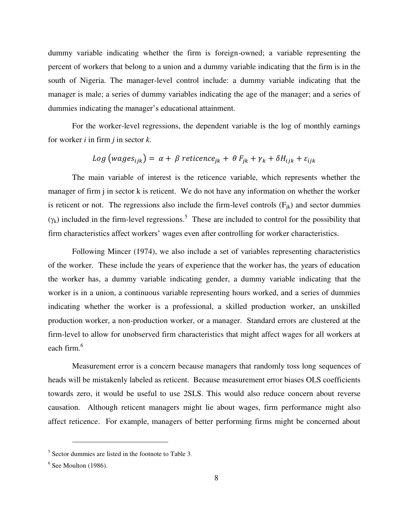dummy variable indicating whether the firm is foreign-owned; a variable representing the percent of workers that belong to a union and a dummy variable indicating that the firm is in the south of Nigeria. The manager-level control include: a dummy variable indicating that the manager is male; a series of dummy variables indicating the age of the manager; and a series of dummies indicating the manager's educational attainment.

For the worker-level regressions, the dependent variable is the log of monthly earnings for worker *i* in firm *j* in sector *k*.

$$
Log(wages_{ijk}) = \alpha + \beta \text{ reticence}_{jk} + \theta F_{jk} + \gamma_k + \delta H_{ijk} + \varepsilon_{ijk}
$$

The main variable of interest is the reticence variable, which represents whether the manager of firm j in sector k is reticent. We do not have any information on whether the worker is reticent or not. The regressions also include the firm-level controls  $(F_{ik})$  and sector dummies  $(\gamma_k)$  included in the firm-level regressions.<sup>5</sup> These are included to control for the possibility that firm characteristics affect workers' wages even after controlling for worker characteristics.

Following Mincer (1974), we also include a set of variables representing characteristics of the worker. These include the years of experience that the worker has, the years of education the worker has, a dummy variable indicating gender, a dummy variable indicating that the worker is in a union, a continuous variable representing hours worked, and a series of dummies indicating whether the worker is a professional, a skilled production worker, an unskilled production worker, a non-production worker, or a manager. Standard errors are clustered at the firm-level to allow for unobserved firm characteristics that might affect wages for all workers at each firm.<sup>6</sup>

Measurement error is a concern because managers that randomly toss long sequences of heads will be mistakenly labeled as reticent. Because measurement error biases OLS coefficients towards zero, it would be useful to use 2SLS. This would also reduce concern about reverse causation. Although reticent managers might lie about wages, firm performance might also affect reticence. For example, managers of better performing firms might be concerned about

 $\overline{a}$ 

<sup>&</sup>lt;sup>5</sup> Sector dummies are listed in the footnote to [Table 3](#page-16-0).

 $<sup>6</sup>$  See Moulton (1986).</sup>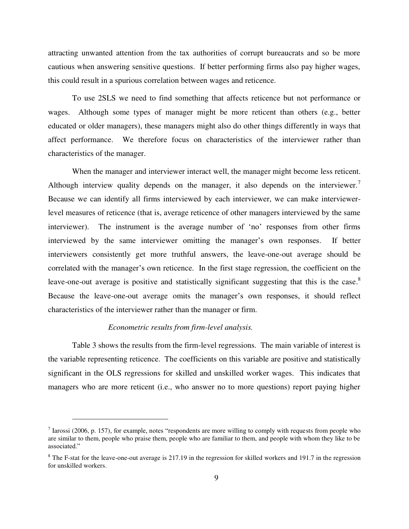attracting unwanted attention from the tax authorities of corrupt bureaucrats and so be more cautious when answering sensitive questions. If better performing firms also pay higher wages, this could result in a spurious correlation between wages and reticence.

To use 2SLS we need to find something that affects reticence but not performance or wages. Although some types of manager might be more reticent than others (e.g., better educated or older managers), these managers might also do other things differently in ways that affect performance. We therefore focus on characteristics of the interviewer rather than characteristics of the manager.

When the manager and interviewer interact well, the manager might become less reticent. Although interview quality depends on the manager, it also depends on the interviewer.<sup>7</sup> Because we can identify all firms interviewed by each interviewer, we can make interviewerlevel measures of reticence (that is, average reticence of other managers interviewed by the same interviewer). The instrument is the average number of 'no' responses from other firms interviewed by the same interviewer omitting the manager's own responses. If better interviewers consistently get more truthful answers, the leave-one-out average should be correlated with the manager's own reticence. In the first stage regression, the coefficient on the leave-one-out average is positive and statistically significant suggesting that this is the case.<sup>8</sup> Because the leave-one-out average omits the manager's own responses, it should reflect characteristics of the interviewer rather than the manager or firm.

### *Econometric results from firm-level analysis.*

 $\overline{a}$ 

[Table 3](#page-16-0) shows the results from the firm-level regressions. The main variable of interest is the variable representing reticence. The coefficients on this variable are positive and statistically significant in the OLS regressions for skilled and unskilled worker wages. This indicates that managers who are more reticent (i.e., who answer no to more questions) report paying higher

 $<sup>7</sup>$  Iarossi (2006, p. 157), for example, notes "respondents are more willing to comply with requests from people who</sup> are similar to them, people who praise them, people who are familiar to them, and people with whom they like to be associated."

 $8$  The F-stat for the leave-one-out average is 217.19 in the regression for skilled workers and 191.7 in the regression for unskilled workers.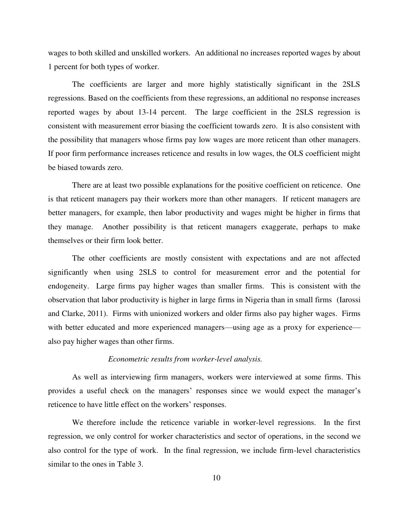wages to both skilled and unskilled workers. An additional no increases reported wages by about 1 percent for both types of worker.

The coefficients are larger and more highly statistically significant in the 2SLS regressions. Based on the coefficients from these regressions, an additional no response increases reported wages by about 13-14 percent. The large coefficient in the 2SLS regression is consistent with measurement error biasing the coefficient towards zero. It is also consistent with the possibility that managers whose firms pay low wages are more reticent than other managers. If poor firm performance increases reticence and results in low wages, the OLS coefficient might be biased towards zero.

There are at least two possible explanations for the positive coefficient on reticence. One is that reticent managers pay their workers more than other managers. If reticent managers are better managers, for example, then labor productivity and wages might be higher in firms that they manage. Another possibility is that reticent managers exaggerate, perhaps to make themselves or their firm look better.

The other coefficients are mostly consistent with expectations and are not affected significantly when using 2SLS to control for measurement error and the potential for endogeneity. Large firms pay higher wages than smaller firms. This is consistent with the observation that labor productivity is higher in large firms in Nigeria than in small firms (Iarossi and Clarke, 2011). Firms with unionized workers and older firms also pay higher wages. Firms with better educated and more experienced managers—using age as a proxy for experience also pay higher wages than other firms.

#### *Econometric results from worker-level analysis.*

As well as interviewing firm managers, workers were interviewed at some firms. This provides a useful check on the managers' responses since we would expect the manager's reticence to have little effect on the workers' responses.

We therefore include the reticence variable in worker-level regressions. In the first regression, we only control for worker characteristics and sector of operations, in the second we also control for the type of work. In the final regression, we include firm-level characteristics similar to the ones in [Table 3.](#page-16-0)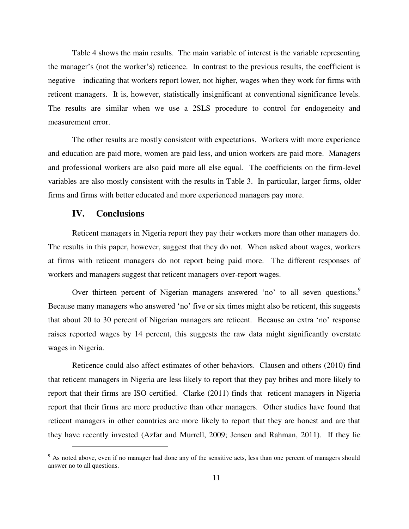[Table 4](#page-17-0) shows the main results. The main variable of interest is the variable representing the manager's (not the worker's) reticence. In contrast to the previous results, the coefficient is negative—indicating that workers report lower, not higher, wages when they work for firms with reticent managers. It is, however, statistically insignificant at conventional significance levels. The results are similar when we use a 2SLS procedure to control for endogeneity and measurement error.

The other results are mostly consistent with expectations. Workers with more experience and education are paid more, women are paid less, and union workers are paid more. Managers and professional workers are also paid more all else equal. The coefficients on the firm-level variables are also mostly consistent with the results in [Table 3.](#page-16-0) In particular, larger firms, older firms and firms with better educated and more experienced managers pay more.

## **IV. Conclusions**

 $\overline{a}$ 

Reticent managers in Nigeria report they pay their workers more than other managers do. The results in this paper, however, suggest that they do not. When asked about wages, workers at firms with reticent managers do not report being paid more. The different responses of workers and managers suggest that reticent managers over-report wages.

Over thirteen percent of Nigerian managers answered 'no' to all seven questions.<sup>9</sup> Because many managers who answered 'no' five or six times might also be reticent, this suggests that about 20 to 30 percent of Nigerian managers are reticent. Because an extra 'no' response raises reported wages by 14 percent, this suggests the raw data might significantly overstate wages in Nigeria.

Reticence could also affect estimates of other behaviors. Clausen and others (2010) find that reticent managers in Nigeria are less likely to report that they pay bribes and more likely to report that their firms are ISO certified. Clarke (2011) finds that reticent managers in Nigeria report that their firms are more productive than other managers. Other studies have found that reticent managers in other countries are more likely to report that they are honest and are that they have recently invested (Azfar and Murrell, 2009; Jensen and Rahman, 2011). If they lie

<sup>&</sup>lt;sup>9</sup> As noted above, even if no manager had done any of the sensitive acts, less than one percent of managers should answer no to all questions.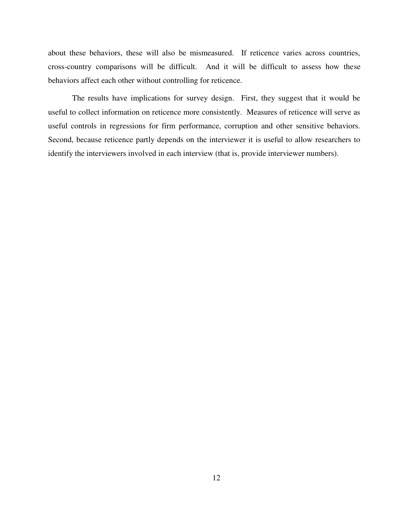about these behaviors, these will also be mismeasured. If reticence varies across countries, cross-country comparisons will be difficult. And it will be difficult to assess how these behaviors affect each other without controlling for reticence.

The results have implications for survey design. First, they suggest that it would be useful to collect information on reticence more consistently. Measures of reticence will serve as useful controls in regressions for firm performance, corruption and other sensitive behaviors. Second, because reticence partly depends on the interviewer it is useful to allow researchers to identify the interviewers involved in each interview (that is, provide interviewer numbers).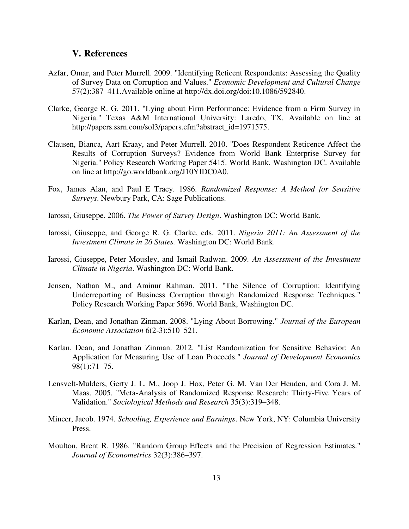## **V. References**

- Azfar, Omar, and Peter Murrell. 2009. "Identifying Reticent Respondents: Assessing the Quality of Survey Data on Corruption and Values." *Economic Development and Cultural Change* 57(2):387–411.Available online at http://dx.doi.org/doi:10.1086/592840.
- Clarke, George R. G. 2011. "Lying about Firm Performance: Evidence from a Firm Survey in Nigeria." Texas A&M International University: Laredo, TX. Available on line at http://papers.ssrn.com/sol3/papers.cfm?abstract\_id=1971575.
- Clausen, Bianca, Aart Kraay, and Peter Murrell. 2010. "Does Respondent Reticence Affect the Results of Corruption Surveys? Evidence from World Bank Enterprise Survey for Nigeria." Policy Research Working Paper 5415. World Bank, Washington DC. Available on line at http://go.worldbank.org/J10YIDC0A0.
- Fox, James Alan, and Paul E Tracy. 1986. *Randomized Response: A Method for Sensitive Surveys*. Newbury Park, CA: Sage Publications.
- Iarossi, Giuseppe. 2006. *The Power of Survey Design*. Washington DC: World Bank.
- Iarossi, Giuseppe, and George R. G. Clarke, eds. 2011. *Nigeria 2011: An Assessment of the Investment Climate in 26 States.* Washington DC: World Bank.
- Iarossi, Giuseppe, Peter Mousley, and Ismail Radwan. 2009. *An Assessment of the Investment Climate in Nigeria*. Washington DC: World Bank.
- Jensen, Nathan M., and Aminur Rahman. 2011. "The Silence of Corruption: Identifying Underreporting of Business Corruption through Randomized Response Techniques." Policy Research Working Paper 5696. World Bank, Washington DC.
- Karlan, Dean, and Jonathan Zinman. 2008. "Lying About Borrowing." *Journal of the European Economic Association* 6(2-3):510–521.
- Karlan, Dean, and Jonathan Zinman. 2012. "List Randomization for Sensitive Behavior: An Application for Measuring Use of Loan Proceeds." *Journal of Development Economics* 98(1):71–75.
- Lensvelt-Mulders, Gerty J. L. M., Joop J. Hox, Peter G. M. Van Der Heuden, and Cora J. M. Maas. 2005. "Meta-Analysis of Randomized Response Research: Thirty-Five Years of Validation." *Sociological Methods and Research* 35(3):319–348.
- Mincer, Jacob. 1974. *Schooling, Experience and Earnings*. New York, NY: Columbia University Press.
- Moulton, Brent R. 1986. "Random Group Effects and the Precision of Regression Estimates." *Journal of Econometrics* 32(3):386–397.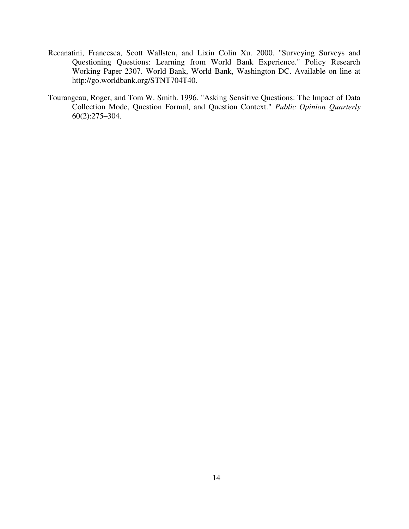- Recanatini, Francesca, Scott Wallsten, and Lixin Colin Xu. 2000. "Surveying Surveys and Questioning Questions: Learning from World Bank Experience." Policy Research Working Paper 2307. World Bank, World Bank, Washington DC. Available on line at http://go.worldbank.org/STNT704T40.
- Tourangeau, Roger, and Tom W. Smith. 1996. "Asking Sensitive Questions: The Impact of Data Collection Mode, Question Formal, and Question Context." *Public Opinion Quarterly* 60(2):275–304.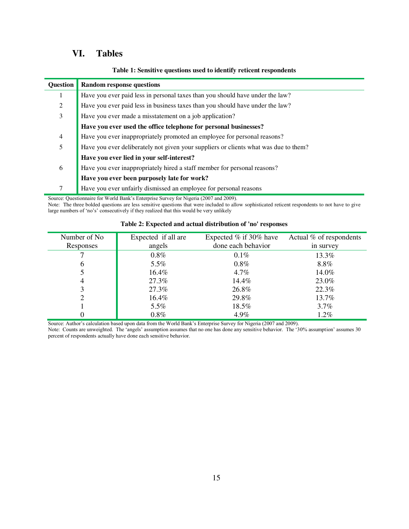# **VI. Tables**

|  |  | Table 1: Sensitive questions used to identify reticent respondents |
|--|--|--------------------------------------------------------------------|
|  |  |                                                                    |

<span id="page-15-0"></span>

| <b>Ouestion</b> | <b>Random response questions</b>                                                     |  |  |  |
|-----------------|--------------------------------------------------------------------------------------|--|--|--|
|                 | Have you ever paid less in personal taxes than you should have under the law?        |  |  |  |
| 2               | Have you ever paid less in business taxes than you should have under the law?        |  |  |  |
| 3               | Have you ever made a misstatement on a job application?                              |  |  |  |
|                 | Have you ever used the office telephone for personal businesses?                     |  |  |  |
| $\overline{4}$  | Have you ever inappropriately promoted an employee for personal reasons?             |  |  |  |
| 5               | Have you ever deliberately not given your suppliers or clients what was due to them? |  |  |  |
|                 | Have you ever lied in your self-interest?                                            |  |  |  |
| 6               | Have you ever inappropriately hired a staff member for personal reasons?             |  |  |  |
|                 | Have you ever been purposely late for work?                                          |  |  |  |
|                 | Have you ever unfairly dismissed an employee for personal reasons                    |  |  |  |

Source: Questionnaire for World Bank's Enterprise Survey for Nigeria (2007 and 2009).

Note: The three bolded questions are less sensitive questions that were included to allow sophisticated reticent respondents to not have to give large numbers of 'no's' consecutively if they realized that this would be very unlikely

<span id="page-15-1"></span>

| Number of No. | Expected if all are | Expected $%$ if 30% have | Actual % of respondents |
|---------------|---------------------|--------------------------|-------------------------|
| Responses     | angels              | done each behavior       | in survey               |
|               | $0.8\%$             | $0.1\%$                  | 13.3%                   |
| 6             | $5.5\%$             | $0.8\%$                  | $8.8\%$                 |
|               | 16.4%               | 4.7%                     | 14.0%                   |
| 4             | 27.3%               | 14.4%                    | 23.0%                   |
|               | 27.3%               | 26.8%                    | 22.3%                   |
|               | 16.4%               | 29.8%                    | 13.7%                   |
|               | $5.5\%$             | 18.5%                    | $3.7\%$                 |
|               | $0.8\%$             | 4.9%                     | $1.2\%$                 |

#### **Table 2: Expected and actual distribution of 'no' responses**

Source: Author's calculation based upon data from the World Bank's Enterprise Survey for Nigeria (2007 and 2009).

Note: Counts are unweighted. The 'angels' assumption assumes that no one has done any sensitive behavior. The '30% assumption' assumes 30 percent of respondents actually have done each sensitive behavior.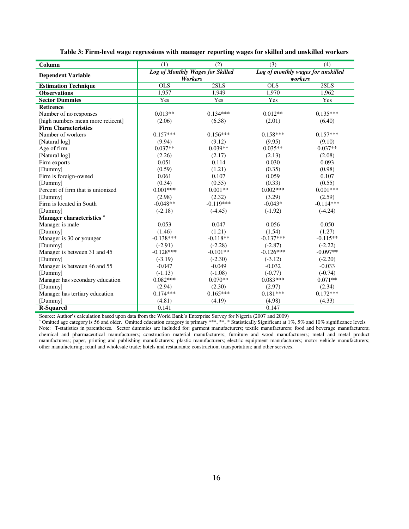<span id="page-16-0"></span>

| Column                               | (1)         | (2)                                                | (3)         | (4)                                           |  |  |
|--------------------------------------|-------------|----------------------------------------------------|-------------|-----------------------------------------------|--|--|
| <b>Dependent Variable</b>            |             | Log of Monthly Wages for Skilled<br><b>Workers</b> |             | Log of monthly wages for unskilled<br>workers |  |  |
| <b>Estimation Technique</b>          | <b>OLS</b>  | 2SLS                                               | <b>OLS</b>  | 2SLS                                          |  |  |
| <b>Observations</b>                  | 1,957       | 1,949                                              | 1,970       | 1,962                                         |  |  |
| <b>Sector Dummies</b>                | Yes         | Yes                                                | Yes         | Yes                                           |  |  |
| <b>Reticence</b>                     |             |                                                    |             |                                               |  |  |
| Number of no responses               | $0.013**$   | $0.134***$                                         | $0.012**$   | $0.135***$                                    |  |  |
| [high numbers mean more reticent]    | (2.06)      | (6.38)                                             | (2.01)      | (6.40)                                        |  |  |
| <b>Firm Characteristics</b>          |             |                                                    |             |                                               |  |  |
| Number of workers                    | $0.157***$  | $0.156***$                                         | $0.158***$  | $0.157***$                                    |  |  |
| [Natural log]                        | (9.94)      | (9.12)                                             | (9.95)      | (9.10)                                        |  |  |
| Age of firm                          | $0.037**$   | $0.039**$                                          | $0.035**$   | $0.037**$                                     |  |  |
| [Natural log]                        | (2.26)      | (2.17)                                             | (2.13)      | (2.08)                                        |  |  |
| Firm exports                         | 0.051       | 0.114                                              | 0.030       | 0.093                                         |  |  |
| [Dummy]                              | (0.59)      | (1.21)                                             | (0.35)      | (0.98)                                        |  |  |
| Firm is foreign-owned                | 0.061       | 0.107                                              | 0.059       | 0.107                                         |  |  |
| [Dummy]                              | (0.34)      | (0.55)                                             | (0.33)      | (0.55)                                        |  |  |
| Percent of firm that is unionized    | $0.001***$  | $0.001**$                                          | $0.002***$  | $0.001***$                                    |  |  |
| [Dummy]                              | (2.98)      | (2.32)                                             | (3.29)      | (2.59)                                        |  |  |
| Firm is located in South             | $-0.048**$  | $-0.119***$                                        | $-0.043*$   | $-0.114***$                                   |  |  |
| [Dummy]                              | $(-2.18)$   | $(-4.45)$                                          | $(-1.92)$   | $(-4.24)$                                     |  |  |
| Manager characteristics <sup>a</sup> |             |                                                    |             |                                               |  |  |
| Manager is male                      | 0.053       | 0.047                                              | 0.056       | 0.050                                         |  |  |
| [Dummy]                              | (1.46)      | (1.21)                                             | (1.54)      | (1.27)                                        |  |  |
| Manager is 30 or younger             | $-0.138***$ | $-0.118**$                                         | $-0.137***$ | $-0.115**$                                    |  |  |
| [Dummy]                              | $(-2.91)$   | $(-2.28)$                                          | $(-2.87)$   | $(-2.22)$                                     |  |  |
| Manager is between 31 and 45         | $-0.128***$ | $-0.101**$                                         | $-0.126***$ | $-0.097**$                                    |  |  |
| [Dummy]                              | $(-3.19)$   | $(-2.30)$                                          | $(-3.12)$   | $(-2.20)$                                     |  |  |
| Manager is between 46 and 55         | $-0.047$    | $-0.049$                                           | $-0.032$    | $-0.033$                                      |  |  |
| [Dummy]                              | $(-1.13)$   | $(-1.08)$                                          | $(-0.77)$   | $(-0.74)$                                     |  |  |
| Manager has secondary education      | $0.082***$  | $0.070**$                                          | $0.083***$  | $0.071**$                                     |  |  |
| [Dummy]                              | (2.94)      | (2.30)                                             | (2.97)      | (2.34)                                        |  |  |
| Manager has tertiary education       | $0.174***$  | $0.165***$                                         | $0.181***$  | $0.172***$                                    |  |  |
| [Dummy]                              | (4.81)      | (4.19)                                             | (4.98)      | (4.33)                                        |  |  |
| <b>R-Squared</b>                     | 0.141       |                                                    | 0.147       |                                               |  |  |

**Table 3: Firm-level wage regressions with manager reporting wages for skilled and unskilled workers** 

Source: Author's calculation based upon data from the World Bank's Enterprise Survey for Nigeria (2007 and 2009)

<sup>a</sup> Omitted age category is 56 and older. Omitted education category is primary \*\*\*, \*\*, \* Statistically Significant at 1%, 5% and 10% significance levels Note: T-statistics in parentheses. Sector dummies are included for: garment manufacturers; textile manufacturers; food and beverage manufacturers; chemical and pharmaceutical manufacturers; construction material manufacturers; furniture and wood manufacturers; metal and metal product manufacturers; paper, printing and publishing manufacturers; plastic manufacturers; electric equipment manufacturers; motor vehicle manufacturers; other manufacturing; retail and wholesale trade; hotels and restaurants; construction; transportation; and other services.